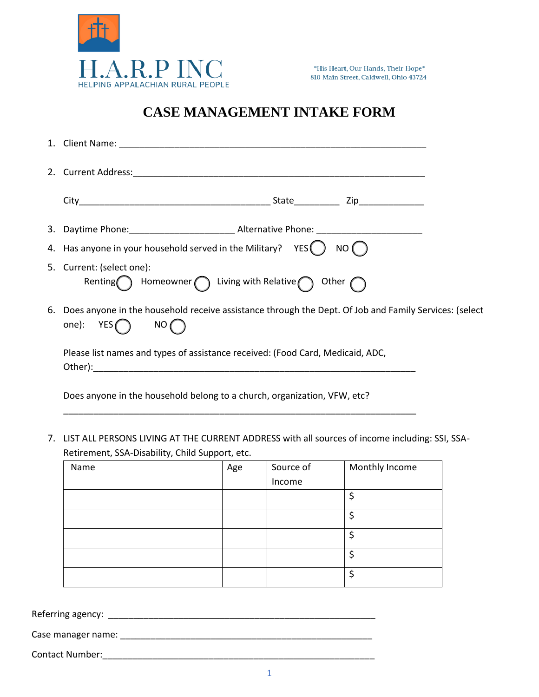

## **CASE MANAGEMENT INTAKE FORM**

| 4. Has anyone in your household served in the Military? $YES() NO()$                                                       |  |
|----------------------------------------------------------------------------------------------------------------------------|--|
| 5. Current: (select one):<br>Renting Homeowner $\bigcap$ Living with Relative $\bigcap$ Other $\bigcap$                    |  |
| 6. Does anyone in the household receive assistance through the Dept. Of Job and Family Services: (select<br>one): $YES$ NO |  |
| Please list names and types of assistance received: (Food Card, Medicaid, ADC,                                             |  |
| Does anyone in the household belong to a church, organization, VFW, etc?                                                   |  |

7. LIST ALL PERSONS LIVING AT THE CURRENT ADDRESS with all sources of income including: SSI, SSA-Retirement, SSA-Disability, Child Support, etc.

| Name | Age | Source of | Monthly Income |
|------|-----|-----------|----------------|
|      |     | Income    |                |
|      |     |           |                |
|      |     |           | \$             |
|      |     |           |                |
|      |     |           |                |
|      |     |           | \$             |

Referring agency: \_\_\_\_\_\_\_\_\_\_\_\_\_\_\_\_\_\_\_\_\_\_\_\_\_\_\_\_\_\_\_\_\_\_\_\_\_\_\_\_\_\_\_\_\_\_\_\_\_\_\_\_\_

Case manager name: \_\_\_\_\_\_\_\_\_\_\_\_\_\_\_\_\_\_\_\_\_\_\_\_\_\_\_\_\_\_\_\_\_\_\_\_\_\_\_\_\_\_\_\_\_\_\_\_\_\_

Contact Number:\_\_\_\_\_\_\_\_\_\_\_\_\_\_\_\_\_\_\_\_\_\_\_\_\_\_\_\_\_\_\_\_\_\_\_\_\_\_\_\_\_\_\_\_\_\_\_\_\_\_\_\_\_\_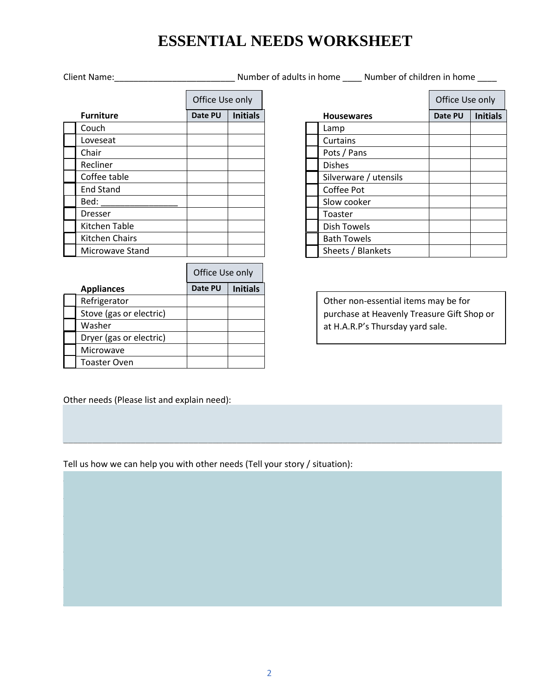## **ESSENTIAL NEEDS WORKSHEET**

Client Name:\_\_\_\_\_\_\_\_\_\_\_\_\_\_\_\_\_\_\_\_\_\_\_\_\_ Number of adults in home \_\_\_\_ Number of children in home \_\_\_\_

|                  | Office Use only |                 |  |
|------------------|-----------------|-----------------|--|
| <b>Furniture</b> | Date PU         | <b>Initials</b> |  |
| Couch            |                 |                 |  |
| Loveseat         |                 |                 |  |
| Chair            |                 |                 |  |
| Recliner         |                 |                 |  |
| Coffee table     |                 |                 |  |
| <b>End Stand</b> |                 |                 |  |
| Bed:             |                 |                 |  |
| Dresser          |                 |                 |  |
| Kitchen Table    |                 |                 |  |
| Kitchen Chairs   |                 |                 |  |
| Microwave Stand  |                 |                 |  |

|                         | Office Use only |                 |  |
|-------------------------|-----------------|-----------------|--|
| <b>Appliances</b>       | Date PU         | <b>Initials</b> |  |
| Refrigerator            |                 |                 |  |
| Stove (gas or electric) |                 |                 |  |
| Washer                  |                 |                 |  |
| Dryer (gas or electric) |                 |                 |  |
| Microwave               |                 |                 |  |
| <b>Toaster Oven</b>     |                 |                 |  |

| Office Use only            |  |                   |                       | Office Use only |                 |
|----------------------------|--|-------------------|-----------------------|-----------------|-----------------|
| <b>Initials</b><br>Date PU |  | <b>Housewares</b> |                       | Date PU         | <b>Initials</b> |
|                            |  |                   | Lamp                  |                 |                 |
|                            |  |                   | Curtains              |                 |                 |
|                            |  |                   | Pots / Pans           |                 |                 |
|                            |  |                   | <b>Dishes</b>         |                 |                 |
|                            |  |                   | Silverware / utensils |                 |                 |
|                            |  |                   | Coffee Pot            |                 |                 |
|                            |  |                   | Slow cooker           |                 |                 |
|                            |  |                   | Toaster               |                 |                 |
|                            |  |                   | <b>Dish Towels</b>    |                 |                 |
|                            |  |                   | <b>Bath Towels</b>    |                 |                 |
|                            |  |                   | Sheets / Blankets     |                 |                 |
|                            |  |                   |                       |                 |                 |

Other non-essential items may be for purchase at Heavenly Treasure Gift Shop or at H.A.R.P's Thursday yard sale.

Other needs (Please list and explain need):

Tell us how we can help you with other needs (Tell your story / situation):

 $\overline{\phantom{a}}$  , and the set of the set of the set of the set of the set of the set of the set of the set of the set of the set of the set of the set of the set of the set of the set of the set of the set of the set of the s